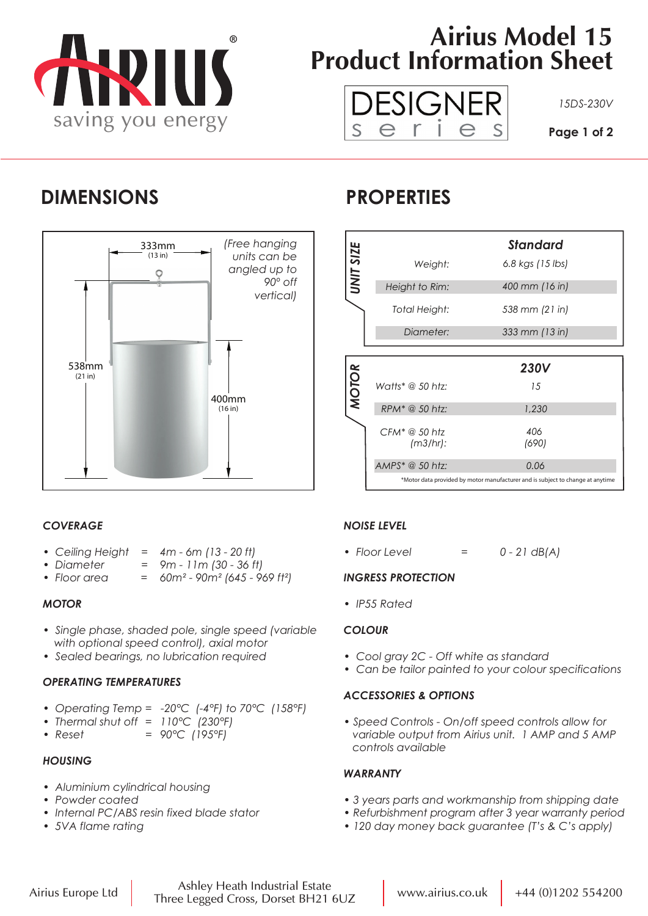

# **Airius Model 15 Product Information Sheet**



### **DIMENSIONS PROPERTIES**



### *COVERAGE*

- *Ceiling Height = 4m 6m (13 20 ft)*
- *Diameter = 9m 11m (30 36 ft)*
- *Floor area = 60m² 90m² (645 969 ft²)*

#### *MOTOR*

- *Single phase, shaded pole, single speed (variable with optional speed control), axial motor*
- *Sealed bearings, no lubrication required*

#### *OPERATING TEMPERATURES*

- *Operating Temp = -20°C (-4°F) to 70°C (158°F)*
- *Thermal shut off = 110°C (230°F)*
- *Reset = 90°C (195°F)*

#### *HOUSING*

- *Aluminium cylindrical housing*
- *Powder coated*
- *Internal PC/ABS resin fixed blade stator*
- *5VA flame rating*

|                  |                              | Standard         |
|------------------|------------------------------|------------------|
| <b>UNIT SIZE</b> | Weight:                      | 6.8 kgs (15 lbs) |
|                  | Height to Rim:               | 400 mm (16 in)   |
|                  | Total Height:                | 538 mm (21 in)   |
|                  | Diameter:                    | 333 mm (13 in)   |
|                  |                              |                  |
|                  |                              |                  |
|                  |                              | <b>230V</b>      |
|                  | Watts* @ 50 htz:             | 15               |
| <b>MOTOR</b>     | RPM <sup>*</sup> @ 50 htz:   | 1,230            |
|                  | $CFM^* @ 50$ htz<br>(m3/hr): | 406<br>(690)     |
|                  | $AMPS^* \t@ 50 \thtz:$       | 0.06             |

### *NOISE LEVEL*

*• Floor Level = 0 - 21 dB(A)*

#### *INGRESS PROTECTION*

*• IP55 Rated*

#### *COLOUR*

- *Cool gray 2C Off white as standard*
- *Can be tailor painted to your colour specifications*

#### *ACCESSORIES & OPTIONS*

*• Speed Controls - On/off speed controls allow for variable output from Airius unit. 1 AMP and 5 AMP controls available*

#### *WARRANTY*

- *3 years parts and workmanship from shipping date*
- *Refurbishment program after 3 year warranty period*
- *120 day money back guarantee (T's & C's apply)*